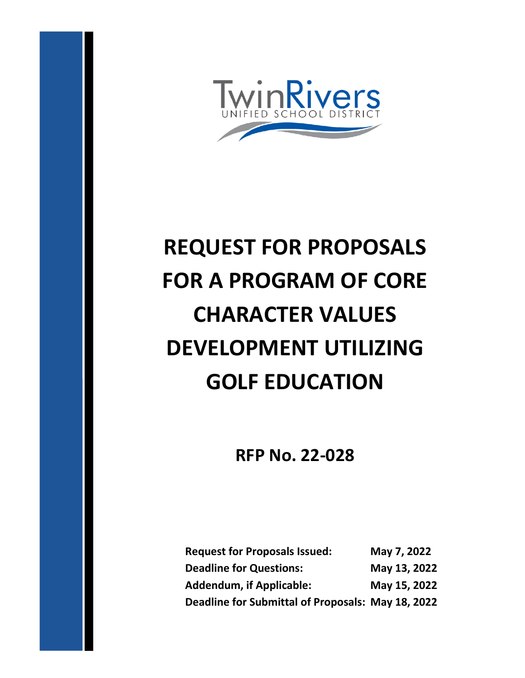

# **REQUEST FOR PROPOSALS FOR A PROGRAM OF CORE CHARACTER VALUES DEVELOPMENT UTILIZING GOLF EDUCATION**

## **RFP No. 22-028**

| <b>Request for Proposals Issued:</b>              | May 7, 2022  |
|---------------------------------------------------|--------------|
| <b>Deadline for Questions:</b>                    | May 13, 2022 |
| <b>Addendum, if Applicable:</b>                   | May 15, 2022 |
| Deadline for Submittal of Proposals: May 18, 2022 |              |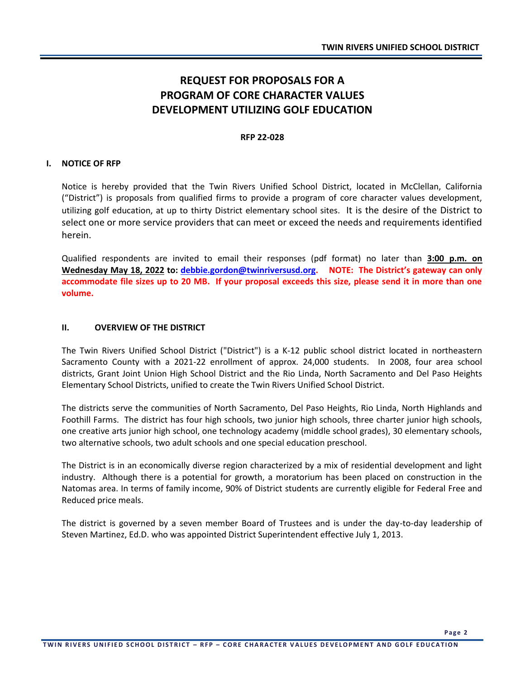### **REQUEST FOR PROPOSALS FOR A PROGRAM OF CORE CHARACTER VALUES DEVELOPMENT UTILIZING GOLF EDUCATION**

#### **RFP 22-028**

#### **I. NOTICE OF RFP**

Notice is hereby provided that the Twin Rivers Unified School District, located in McClellan, California ("District") is proposals from qualified firms to provide a program of core character values development, utilizing golf education, at up to thirty District elementary school sites. It is the desire of the District to select one or more service providers that can meet or exceed the needs and requirements identified herein.

Qualified respondents are invited to email their responses (pdf format) no later than **3:00 p.m. on Wednesday May 18, 2022 to: [debbie.gordon@twinriversusd.org](mailto:debbie.gordon@twinriversusd.org). NOTE: The District's gateway can only accommodate file sizes up to 20 MB. If your proposal exceeds this size, please send it in more than one volume.**

#### **II. OVERVIEW OF THE DISTRICT**

The Twin Rivers Unified School District ("District") is a K-12 public school district located in northeastern Sacramento County with a 2021-22 enrollment of approx. 24,000 students. In 2008, four area school districts, Grant Joint Union High School District and the Rio Linda, North Sacramento and Del Paso Heights Elementary School Districts, unified to create the Twin Rivers Unified School District.

The districts serve the communities of North Sacramento, Del Paso Heights, Rio Linda, North Highlands and Foothill Farms. The district has four high schools, two junior high schools, three charter junior high schools, one creative arts junior high school, one technology academy (middle school grades), 30 elementary schools, two alternative schools, two adult schools and one special education preschool.

The District is in an economically diverse region characterized by a mix of residential development and light industry. Although there is a potential for growth, a moratorium has been placed on construction in the Natomas area. In terms of family income, 90% of District students are currently eligible for Federal Free and Reduced price meals.

The district is governed by a seven member Board of Trustees and is under the day-to-day leadership of Steven Martinez, Ed.D. who was appointed District Superintendent effective July 1, 2013.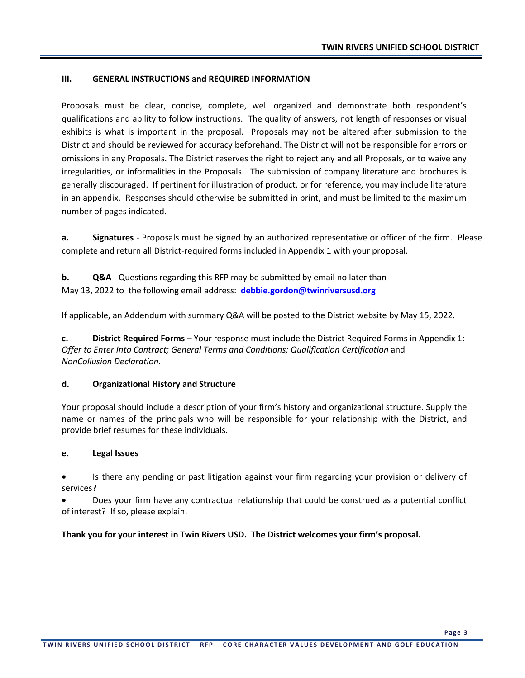#### **III. GENERAL INSTRUCTIONS and REQUIRED INFORMATION**

Proposals must be clear, concise, complete, well organized and demonstrate both respondent's qualifications and ability to follow instructions. The quality of answers, not length of responses or visual exhibits is what is important in the proposal. Proposals may not be altered after submission to the District and should be reviewed for accuracy beforehand. The District will not be responsible for errors or omissions in any Proposals. The District reserves the right to reject any and all Proposals, or to waive any irregularities, or informalities in the Proposals. The submission of company literature and brochures is generally discouraged. If pertinent for illustration of product, or for reference, you may include literature in an appendix. Responses should otherwise be submitted in print, and must be limited to the maximum number of pages indicated.

**a. Signatures** - Proposals must be signed by an authorized representative or officer of the firm. Please complete and return all District-required forms included in Appendix 1 with your proposal*.*

**b. Q&A** - Questions regarding this RFP may be submitted by email no later than May 13, 2022 to the following email address: **[debbie.gordon@twinriversusd.org](mailto:steve.martinez@twinriversusd.org)**

If applicable, an Addendum with summary Q&A will be posted to the District website by May 15, 2022.

**c. District Required Forms** – Your response must include the District Required Forms in Appendix 1: *Offer to Enter Into Contract; General Terms and Conditions; Qualification Certification* and *NonCollusion Declaration.*

#### **d. Organizational History and Structure**

Your proposal should include a description of your firm's history and organizational structure. Supply the name or names of the principals who will be responsible for your relationship with the District, and provide brief resumes for these individuals.

#### **e. Legal Issues**

• Is there any pending or past litigation against your firm regarding your provision or delivery of services?

• Does your firm have any contractual relationship that could be construed as a potential conflict of interest? If so, please explain.

**Thank you for your interest in Twin Rivers USD. The District welcomes your firm's proposal.**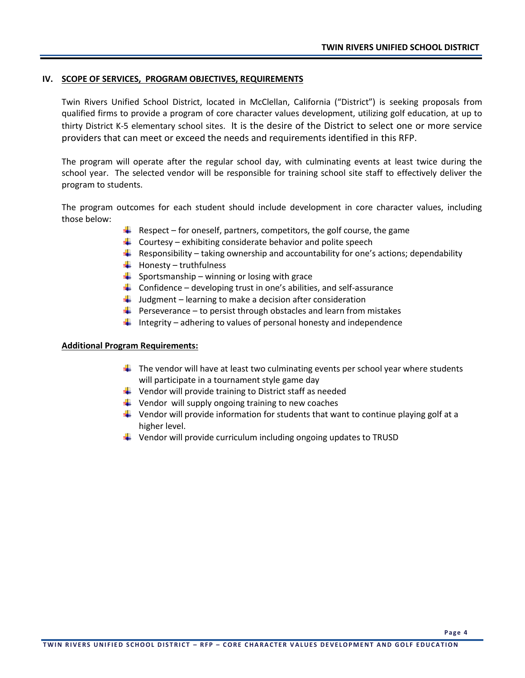#### **IV. SCOPE OF SERVICES, PROGRAM OBJECTIVES, REQUIREMENTS**

Twin Rivers Unified School District, located in McClellan, California ("District") is seeking proposals from qualified firms to provide a program of core character values development, utilizing golf education, at up to thirty District K-5 elementary school sites. It is the desire of the District to select one or more service providers that can meet or exceed the needs and requirements identified in this RFP.

The program will operate after the regular school day, with culminating events at least twice during the school year. The selected vendor will be responsible for training school site staff to effectively deliver the program to students.

The program outcomes for each student should include development in core character values, including those below:

- $\ddot{+}$  Respect for oneself, partners, competitors, the golf course, the game
- $\downarrow$  Courtesy exhibiting considerate behavior and polite speech
- **Responsibility taking ownership and accountability for one's actions; dependability**
- $\bigcup$  Honesty truthfulness
- $\frac{1}{2}$  Sportsmanship winning or losing with grace
- $\downarrow$  Confidence developing trust in one's abilities, and self-assurance
- $\downarrow$  Judgment learning to make a decision after consideration
- $\downarrow$  Perseverance to persist through obstacles and learn from mistakes
- Integrity adhering to values of personal honesty and independence

#### **Additional Program Requirements:**

- $\ddot{\phantom{1}}$  The vendor will have at least two culminating events per school year where students will participate in a tournament style game day
- $\downarrow$  Vendor will provide training to District staff as needed
- $\downarrow$  Vendor will supply ongoing training to new coaches
- $\ddot{\phantom{1}}$  Vendor will provide information for students that want to continue playing golf at a higher level.
- $\downarrow$  Vendor will provide curriculum including ongoing updates to TRUSD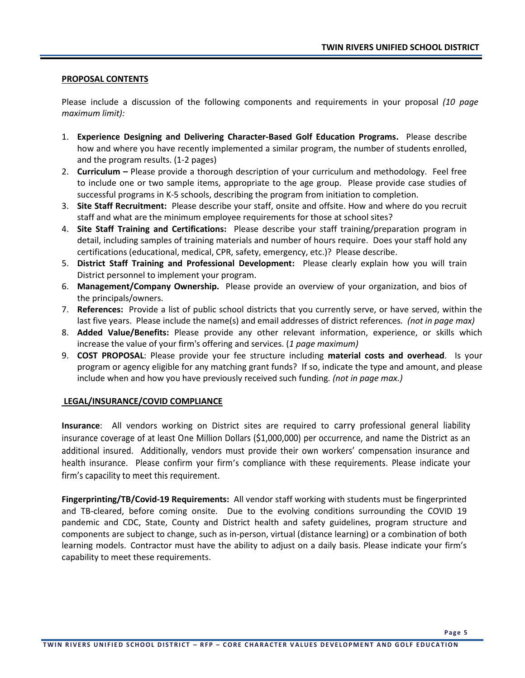#### **PROPOSAL CONTENTS**

Please include a discussion of the following components and requirements in your proposal *(10 page maximum limit):*

- 1. **Experience Designing and Delivering Character-Based Golf Education Programs.** Please describe how and where you have recently implemented a similar program, the number of students enrolled, and the program results. (1-2 pages)
- 2. **Curriculum –** Please provide a thorough description of your curriculum and methodology. Feel free to include one or two sample items, appropriate to the age group. Please provide case studies of successful programs in K-5 schools, describing the program from initiation to completion.
- 3. **Site Staff Recruitment:** Please describe your staff, onsite and offsite. How and where do you recruit staff and what are the minimum employee requirements for those at school sites?
- 4. **Site Staff Training and Certifications:** Please describe your staff training/preparation program in detail, including samples of training materials and number of hours require. Does your staff hold any certifications (educational, medical, CPR, safety, emergency, etc.)? Please describe.
- 5. **District Staff Training and Professional Development:** Please clearly explain how you will train District personnel to implement your program.
- 6. **Management/Company Ownership.** Please provide an overview of your organization, and bios of the principals/owners.
- 7. **References:** Provide a list of public school districts that you currently serve, or have served, within the last five years. Please include the name(s) and email addresses of district references*. (not in page max)*
- 8. **Added Value/Benefits:** Please provide any other relevant information, experience, or skills which increase the value of your firm's offering and services. (*1 page maximum)*
- 9. **COST PROPOSAL**: Please provide your fee structure including **material costs and overhead**. Is your program or agency eligible for any matching grant funds? If so, indicate the type and amount, and please include when and how you have previously received such funding*. (not in page max.)*

#### **LEGAL/INSURANCE/COVID COMPLIANCE**

**Insurance**: All vendors working on District sites are required to carry professional general liability insurance coverage of at least One Million Dollars (\$1,000,000) per occurrence, and name the District as an additional insured. Additionally, vendors must provide their own workers' compensation insurance and health insurance. Please confirm your firm's compliance with these requirements. Please indicate your firm's capacility to meet this requirement.

**Fingerprinting/TB/Covid-19 Requirements:** All vendor staff working with students must be fingerprinted and TB-cleared, before coming onsite. Due to the evolving conditions surrounding the COVID 19 pandemic and CDC, State, County and District health and safety guidelines, program structure and components are subject to change, such as in-person, virtual (distance learning) or a combination of both learning models. Contractor must have the ability to adjust on a daily basis. Please indicate your firm's capability to meet these requirements.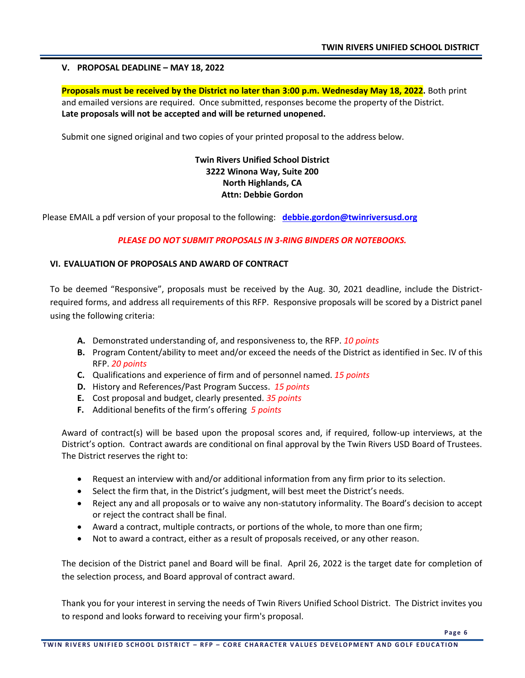#### **V. PROPOSAL DEADLINE – MAY 18, 2022**

**Proposals must be received by the District no later than 3:00 p.m. Wednesday May 18, 2022.** Both print and emailed versions are required. Once submitted, responses become the property of the District. **Late proposals will not be accepted and will be returned unopened.** 

Submit one signed original and two copies of your printed proposal to the address below.

#### **Twin Rivers Unified School District 3222 Winona Way, Suite 200 North Highlands, CA Attn: Debbie Gordon**

Please EMAIL a pdf version of your proposal to the following: **[debbie.gordon@twinriversusd.org](mailto:debbie.gordon@twinriversusd.org)**

#### *PLEASE DO NOT SUBMIT PROPOSALS IN 3-RING BINDERS OR NOTEBOOKS.*

#### **VI. EVALUATION OF PROPOSALS AND AWARD OF CONTRACT**

To be deemed "Responsive", proposals must be received by the Aug. 30, 2021 deadline, include the Districtrequired forms, and address all requirements of this RFP. Responsive proposals will be scored by a District panel using the following criteria:

- **A.** Demonstrated understanding of, and responsiveness to, the RFP. *10 points*
- **B.** Program Content/ability to meet and/or exceed the needs of the District as identified in Sec. IV of this RFP. *20 points*
- **C.** Qualifications and experience of firm and of personnel named. *15 points*
- **D.** History and References/Past Program Success. *15 points*
- **E.** Cost proposal and budget, clearly presented. *35 points*
- **F.** Additional benefits of the firm's offering *5 points*

Award of contract(s) will be based upon the proposal scores and, if required, follow-up interviews, at the District's option. Contract awards are conditional on final approval by the Twin Rivers USD Board of Trustees. The District reserves the right to:

- Request an interview with and/or additional information from any firm prior to its selection.
- Select the firm that, in the District's judgment, will best meet the District's needs.
- Reject any and all proposals or to waive any non-statutory informality. The Board's decision to accept or reject the contract shall be final.
- Award a contract, multiple contracts, or portions of the whole, to more than one firm;
- Not to award a contract, either as a result of proposals received, or any other reason.

The decision of the District panel and Board will be final. April 26, 2022 is the target date for completion of the selection process, and Board approval of contract award.

Thank you for your interest in serving the needs of Twin Rivers Unified School District. The District invites you to respond and looks forward to receiving your firm's proposal.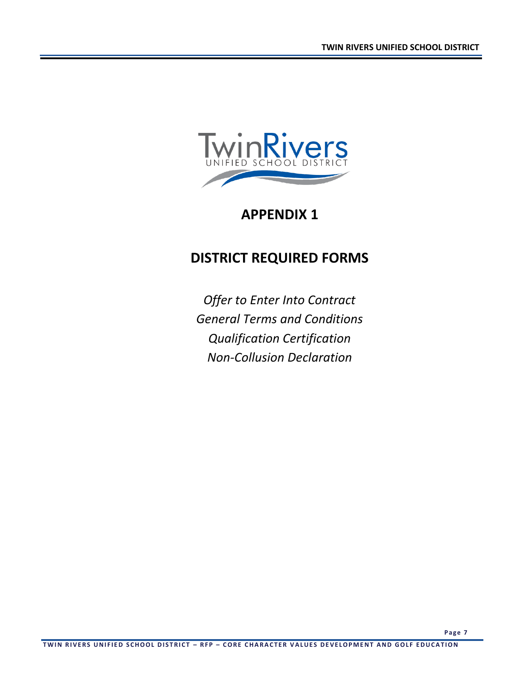

## **APPENDIX 1**

## **DISTRICT REQUIRED FORMS**

*Offer to Enter Into Contract General Terms and Conditions Qualification Certification Non-Collusion Declaration*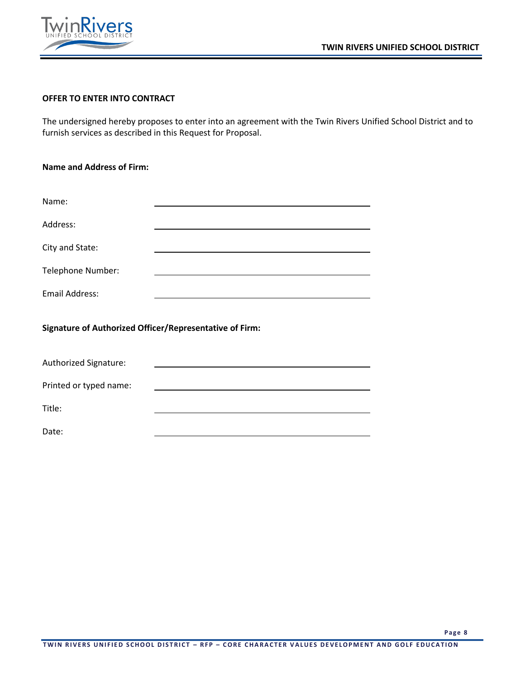



#### **OFFER TO ENTER INTO CONTRACT**

The undersigned hereby proposes to enter into an agreement with the Twin Rivers Unified School District and to furnish services as described in this Request for Proposal.

| <b>Name and Address of Firm:</b>                               |  |  |  |  |  |  |
|----------------------------------------------------------------|--|--|--|--|--|--|
|                                                                |  |  |  |  |  |  |
| Name:                                                          |  |  |  |  |  |  |
| Address:                                                       |  |  |  |  |  |  |
| City and State:                                                |  |  |  |  |  |  |
| Telephone Number:                                              |  |  |  |  |  |  |
| <b>Email Address:</b>                                          |  |  |  |  |  |  |
| <b>Signature of Authorized Officer/Representative of Firm:</b> |  |  |  |  |  |  |
| Authorized Signature:                                          |  |  |  |  |  |  |

Printed or typed name:

Title:

Date: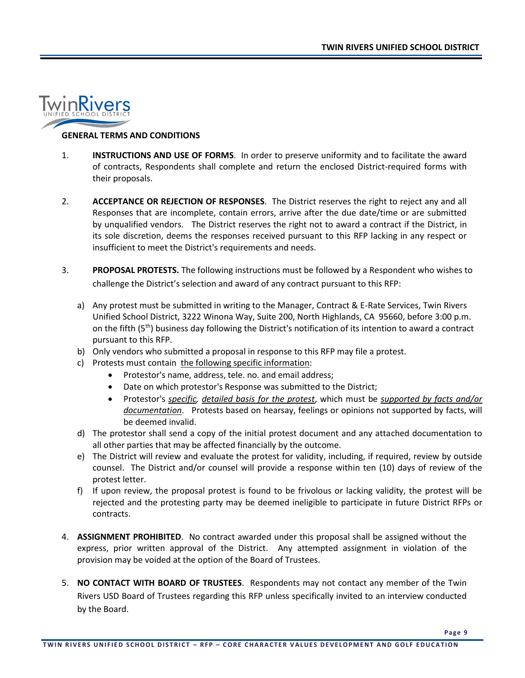

#### **GENERAL TERMS AND CONDITIONS**

- 1. **INSTRUCTIONS AND USE OF FORMS**. In order to preserve uniformity and to facilitate the award of contracts, Respondents shall complete and return the enclosed District-required forms with their proposals.
- 2. **ACCEPTANCE OR REJECTION OF RESPONSES**. The District reserves the right to reject any and all Responses that are incomplete, contain errors, arrive after the due date/time or are submitted by unqualified vendors. The District reserves the right not to award a contract if the District, in its sole discretion, deems the responses received pursuant to this RFP lacking in any respect or insufficient to meet the District's requirements and needs.
- 3. **PROPOSAL PROTESTS.** The following instructions must be followed by a Respondent who wishes to challenge the District's selection and award of any contract pursuant to this RFP:
	- a) Any protest must be submitted in writing to the Manager, Contract & E-Rate Services, Twin Rivers Unified School District, 3222 Winona Way, Suite 200, North Highlands, CA 95660, before 3:00 p.m. on the fifth (5th) business day following the District's notification of its intention to award a contract pursuant to this RFP.
	- b) Only vendors who submitted a proposal in response to this RFP may file a protest.
	- c) Protests must contain the following specific information:
		- Protestor's name, address, tele. no. and email address;
		- Date on which protestor's Response was submitted to the District;
		- Protestor's *specific, detailed basis for the protest*, which must be *supported by facts and/or documentation*. Protests based on hearsay, feelings or opinions not supported by facts, will be deemed invalid.
	- d) The protestor shall send a copy of the initial protest document and any attached documentation to all other parties that may be affected financially by the outcome.
	- e) The District will review and evaluate the protest for validity, including, if required, review by outside counsel. The District and/or counsel will provide a response within ten (10) days of review of the protest letter.
	- f) If upon review, the proposal protest is found to be frivolous or lacking validity, the protest will be rejected and the protesting party may be deemed ineligible to participate in future District RFPs or contracts.
- 4. **ASSIGNMENT PROHIBITED**. No contract awarded under this proposal shall be assigned without the express, prior written approval of the District. Any attempted assignment in violation of the provision may be voided at the option of the Board of Trustees.
- 5. **NO CONTACT WITH BOARD OF TRUSTEES**. Respondents may not contact any member of the Twin Rivers USD Board of Trustees regarding this RFP unless specifically invited to an interview conducted by the Board.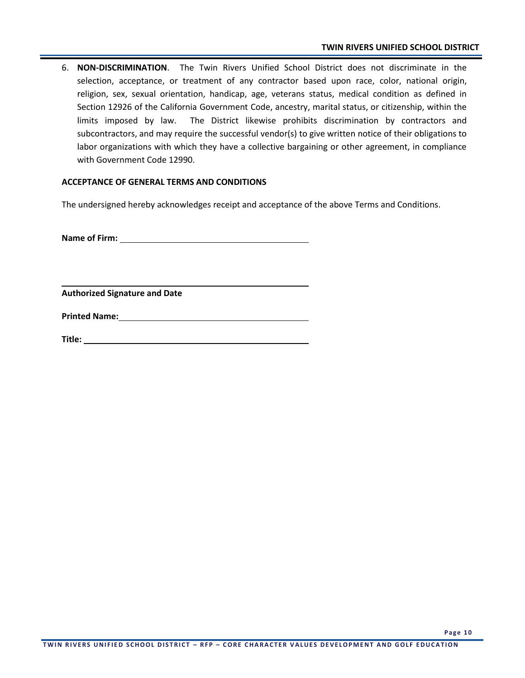6. **NON-DISCRIMINATION**. The Twin Rivers Unified School District does not discriminate in the selection, acceptance, or treatment of any contractor based upon race, color, national origin, religion, sex, sexual orientation, handicap, age, veterans status, medical condition as defined in Section 12926 of the California Government Code, ancestry, marital status, or citizenship, within the limits imposed by law. The District likewise prohibits discrimination by contractors and subcontractors, and may require the successful vendor(s) to give written notice of their obligations to labor organizations with which they have a collective bargaining or other agreement, in compliance with Government Code 12990.

#### **ACCEPTANCE OF GENERAL TERMS AND CONDITIONS**

The undersigned hereby acknowledges receipt and acceptance of the above Terms and Conditions.

**Name of Firm:** 

**Authorized Signature and Date**

**Printed Name:**

**Title:**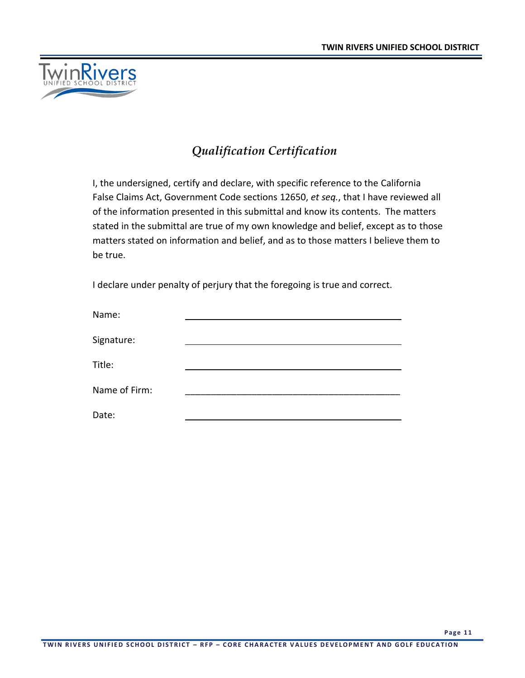

## *Qualification Certification*

I, the undersigned, certify and declare, with specific reference to the California False Claims Act, Government Code sections 12650, *et seq.*, that I have reviewed all of the information presented in this submittal and know its contents. The matters stated in the submittal are true of my own knowledge and belief, except as to those matters stated on information and belief, and as to those matters I believe them to be true.

I declare under penalty of perjury that the foregoing is true and correct.

| Name:         |  |
|---------------|--|
| Signature:    |  |
| Title:        |  |
| Name of Firm: |  |
| Date:         |  |